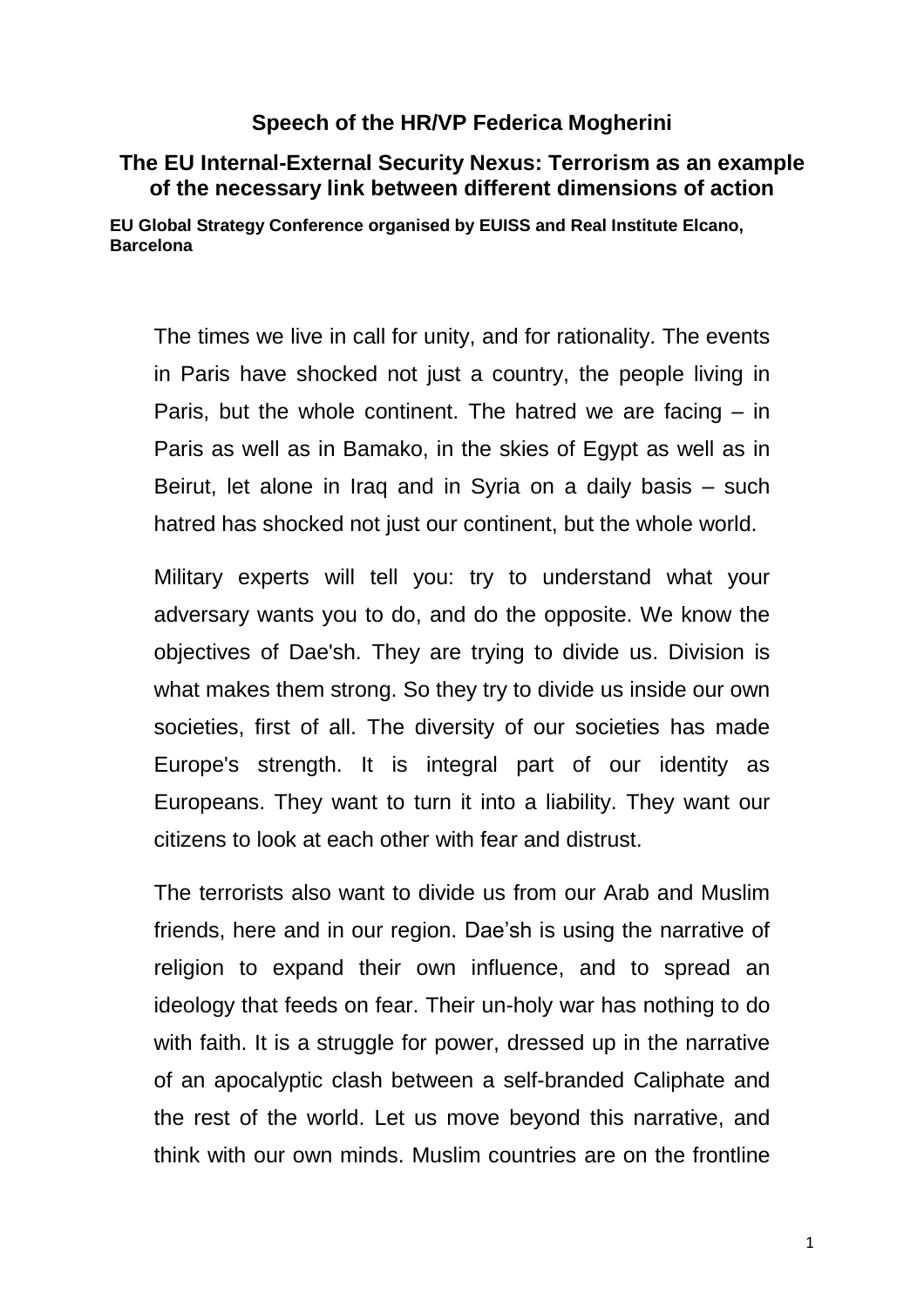## **Speech of the HR/VP Federica Mogherini**

## **The EU Internal-External Security Nexus: Terrorism as an example of the necessary link between different dimensions of action**

**EU Global Strategy Conference organised by EUISS and Real Institute Elcano, Barcelona**

The times we live in call for unity, and for rationality. The events in Paris have shocked not just a country, the people living in Paris, but the whole continent. The hatred we are facing – in Paris as well as in Bamako, in the skies of Egypt as well as in Beirut, let alone in Iraq and in Syria on a daily basis – such hatred has shocked not just our continent, but the whole world.

Military experts will tell you: try to understand what your adversary wants you to do, and do the opposite. We know the objectives of Dae'sh. They are trying to divide us. Division is what makes them strong. So they try to divide us inside our own societies, first of all. The diversity of our societies has made Europe's strength. It is integral part of our identity as Europeans. They want to turn it into a liability. They want our citizens to look at each other with fear and distrust.

The terrorists also want to divide us from our Arab and Muslim friends, here and in our region. Dae'sh is using the narrative of religion to expand their own influence, and to spread an ideology that feeds on fear. Their un-holy war has nothing to do with faith. It is a struggle for power, dressed up in the narrative of an apocalyptic clash between a self-branded Caliphate and the rest of the world. Let us move beyond this narrative, and think with our own minds. Muslim countries are on the frontline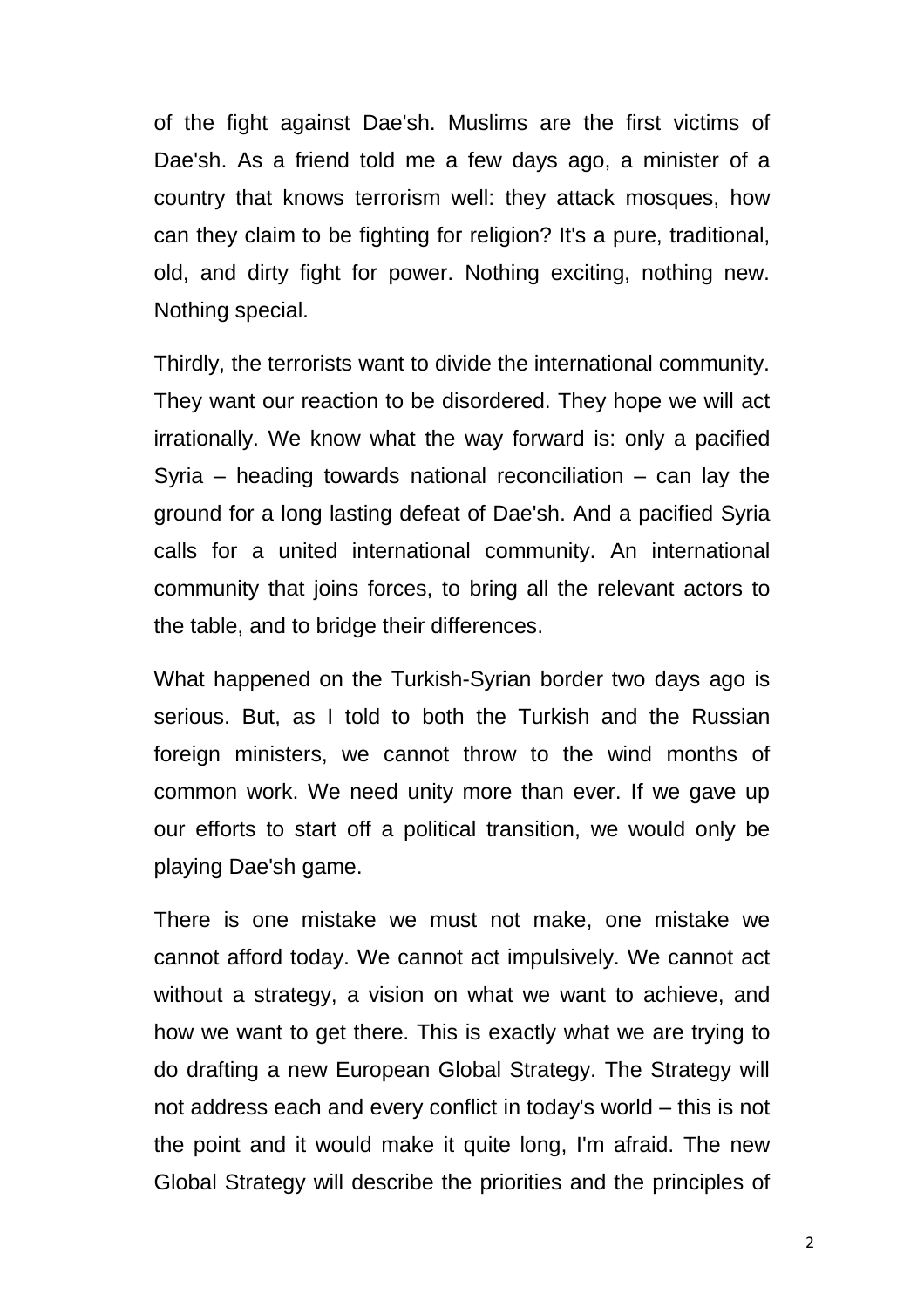of the fight against Dae'sh. Muslims are the first victims of Dae'sh. As a friend told me a few days ago, a minister of a country that knows terrorism well: they attack mosques, how can they claim to be fighting for religion? It's a pure, traditional, old, and dirty fight for power. Nothing exciting, nothing new. Nothing special.

Thirdly, the terrorists want to divide the international community. They want our reaction to be disordered. They hope we will act irrationally. We know what the way forward is: only a pacified Syria – heading towards national reconciliation – can lay the ground for a long lasting defeat of Dae'sh. And a pacified Syria calls for a united international community. An international community that joins forces, to bring all the relevant actors to the table, and to bridge their differences.

What happened on the Turkish-Syrian border two days ago is serious. But, as I told to both the Turkish and the Russian foreign ministers, we cannot throw to the wind months of common work. We need unity more than ever. If we gave up our efforts to start off a political transition, we would only be playing Dae'sh game.

There is one mistake we must not make, one mistake we cannot afford today. We cannot act impulsively. We cannot act without a strategy, a vision on what we want to achieve, and how we want to get there. This is exactly what we are trying to do drafting a new European Global Strategy. The Strategy will not address each and every conflict in today's world – this is not the point and it would make it quite long, I'm afraid. The new Global Strategy will describe the priorities and the principles of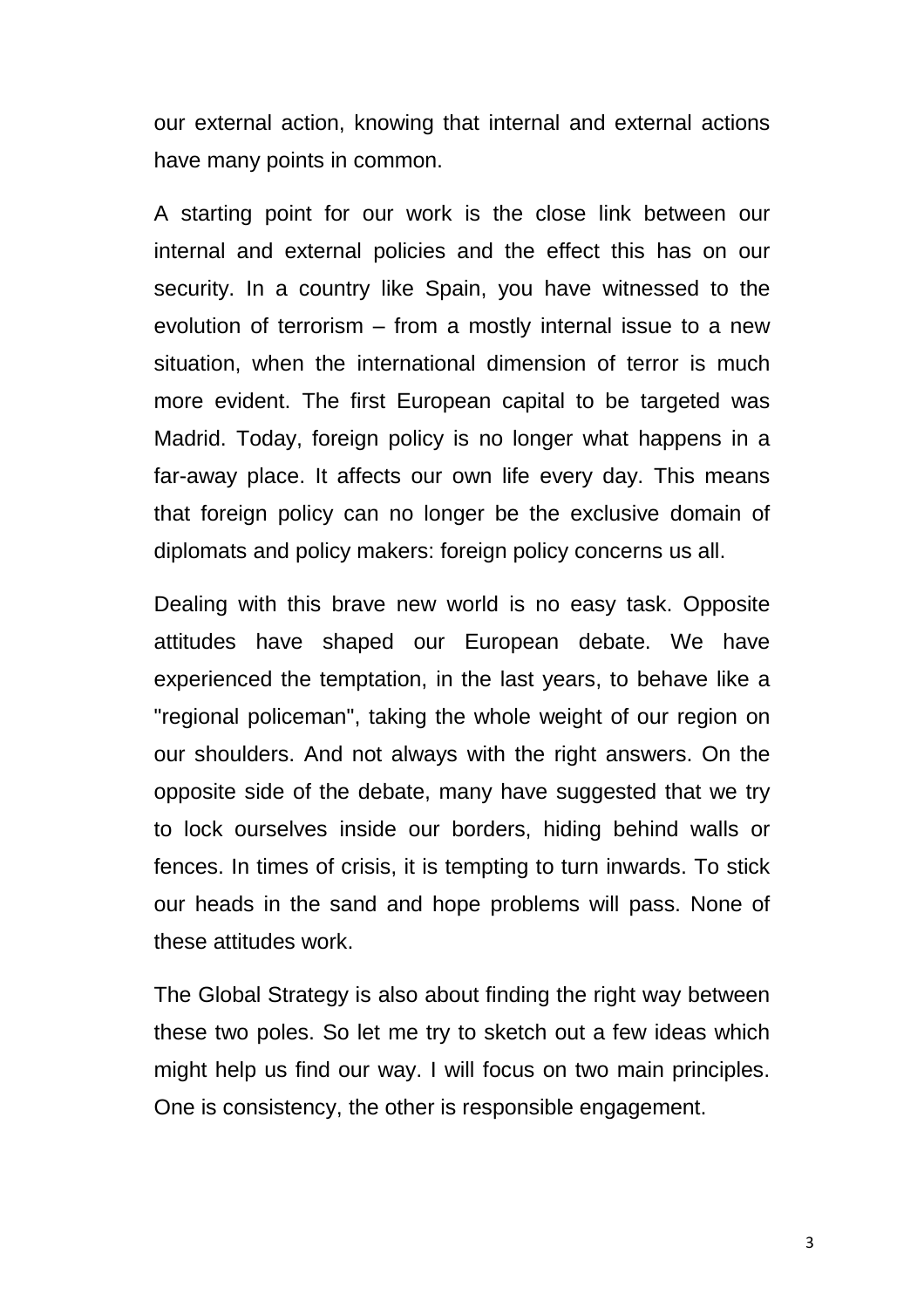our external action, knowing that internal and external actions have many points in common.

A starting point for our work is the close link between our internal and external policies and the effect this has on our security. In a country like Spain, you have witnessed to the evolution of terrorism – from a mostly internal issue to a new situation, when the international dimension of terror is much more evident. The first European capital to be targeted was Madrid. Today, foreign policy is no longer what happens in a far-away place. It affects our own life every day. This means that foreign policy can no longer be the exclusive domain of diplomats and policy makers: foreign policy concerns us all.

Dealing with this brave new world is no easy task. Opposite attitudes have shaped our European debate. We have experienced the temptation, in the last years, to behave like a "regional policeman", taking the whole weight of our region on our shoulders. And not always with the right answers. On the opposite side of the debate, many have suggested that we try to lock ourselves inside our borders, hiding behind walls or fences. In times of crisis, it is tempting to turn inwards. To stick our heads in the sand and hope problems will pass. None of these attitudes work.

The Global Strategy is also about finding the right way between these two poles. So let me try to sketch out a few ideas which might help us find our way. I will focus on two main principles. One is consistency, the other is responsible engagement.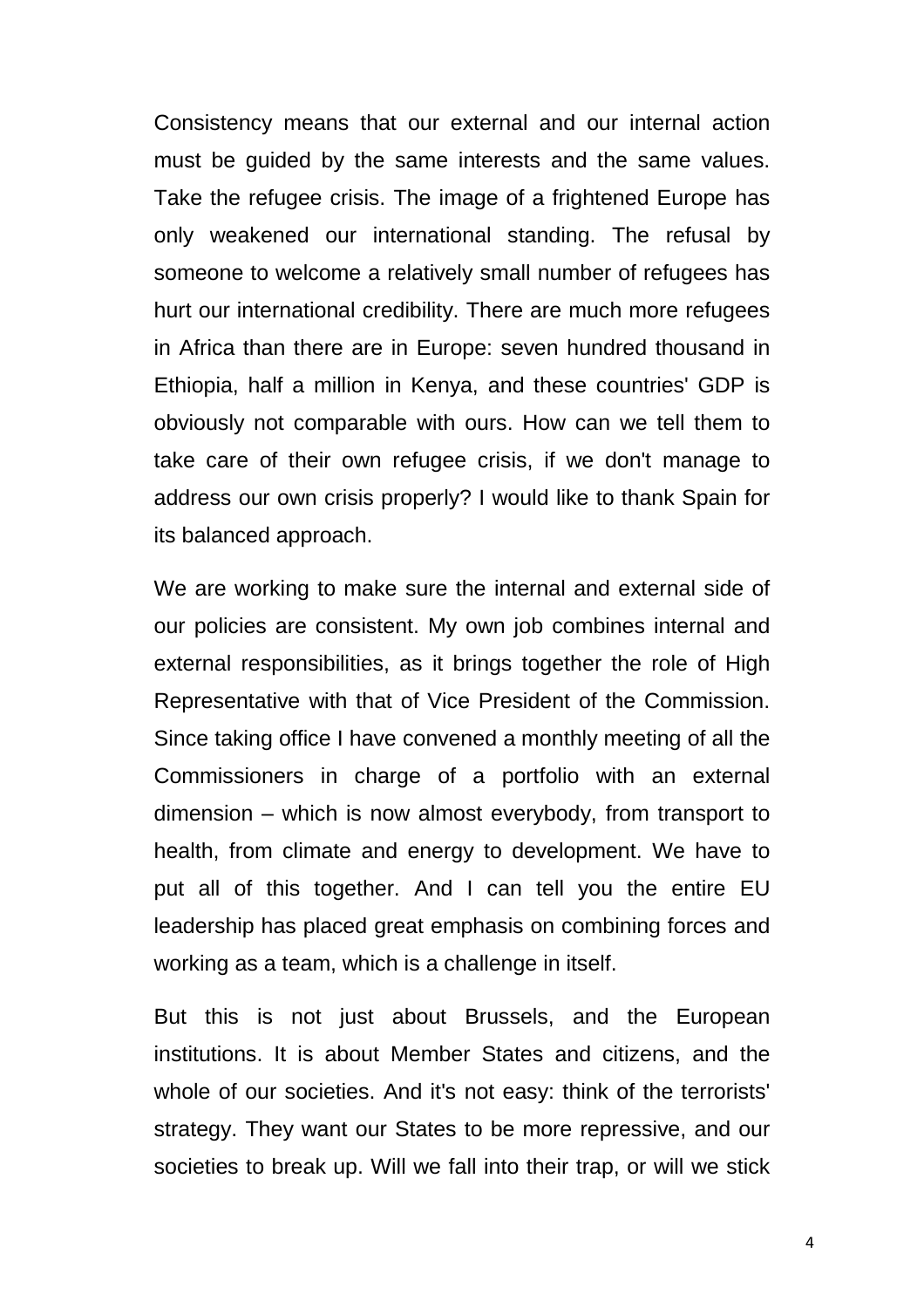Consistency means that our external and our internal action must be guided by the same interests and the same values. Take the refugee crisis. The image of a frightened Europe has only weakened our international standing. The refusal by someone to welcome a relatively small number of refugees has hurt our international credibility. There are much more refugees in Africa than there are in Europe: seven hundred thousand in Ethiopia, half a million in Kenya, and these countries' GDP is obviously not comparable with ours. How can we tell them to take care of their own refugee crisis, if we don't manage to address our own crisis properly? I would like to thank Spain for its balanced approach.

We are working to make sure the internal and external side of our policies are consistent. My own job combines internal and external responsibilities, as it brings together the role of High Representative with that of Vice President of the Commission. Since taking office I have convened a monthly meeting of all the Commissioners in charge of a portfolio with an external dimension – which is now almost everybody, from transport to health, from climate and energy to development. We have to put all of this together. And I can tell you the entire EU leadership has placed great emphasis on combining forces and working as a team, which is a challenge in itself.

But this is not just about Brussels, and the European institutions. It is about Member States and citizens, and the whole of our societies. And it's not easy: think of the terrorists' strategy. They want our States to be more repressive, and our societies to break up. Will we fall into their trap, or will we stick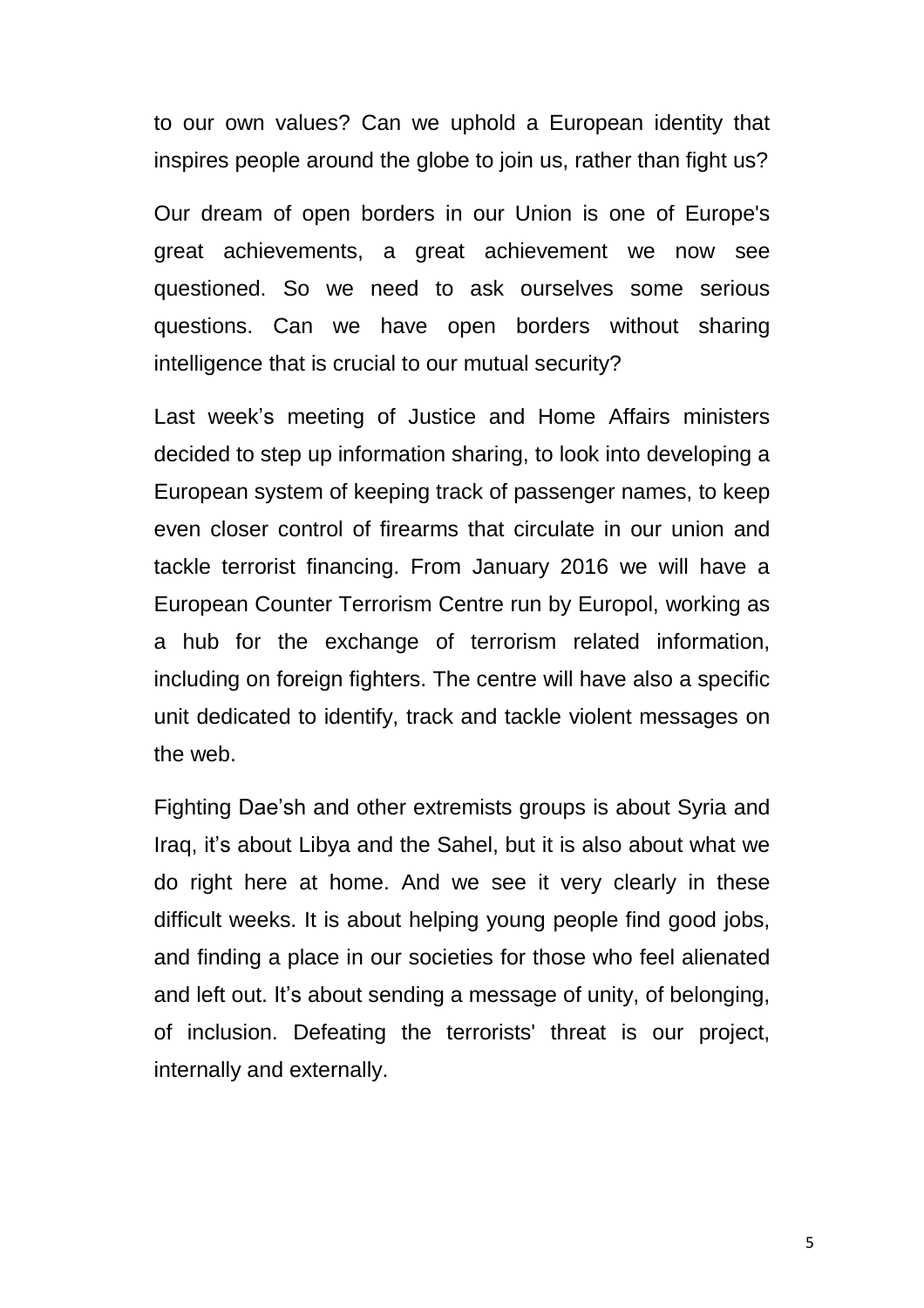to our own values? Can we uphold a European identity that inspires people around the globe to join us, rather than fight us?

Our dream of open borders in our Union is one of Europe's great achievements, a great achievement we now see questioned. So we need to ask ourselves some serious questions. Can we have open borders without sharing intelligence that is crucial to our mutual security?

Last week's meeting of Justice and Home Affairs ministers decided to step up information sharing, to look into developing a European system of keeping track of passenger names, to keep even closer control of firearms that circulate in our union and tackle terrorist financing. From January 2016 we will have a European Counter Terrorism Centre run by Europol, working as a hub for the exchange of terrorism related information, including on foreign fighters. The centre will have also a specific unit dedicated to identify, track and tackle violent messages on the web.

Fighting Dae'sh and other extremists groups is about Syria and Iraq, it's about Libya and the Sahel, but it is also about what we do right here at home. And we see it very clearly in these difficult weeks. It is about helping young people find good jobs, and finding a place in our societies for those who feel alienated and left out. It's about sending a message of unity, of belonging, of inclusion. Defeating the terrorists' threat is our project, internally and externally.

5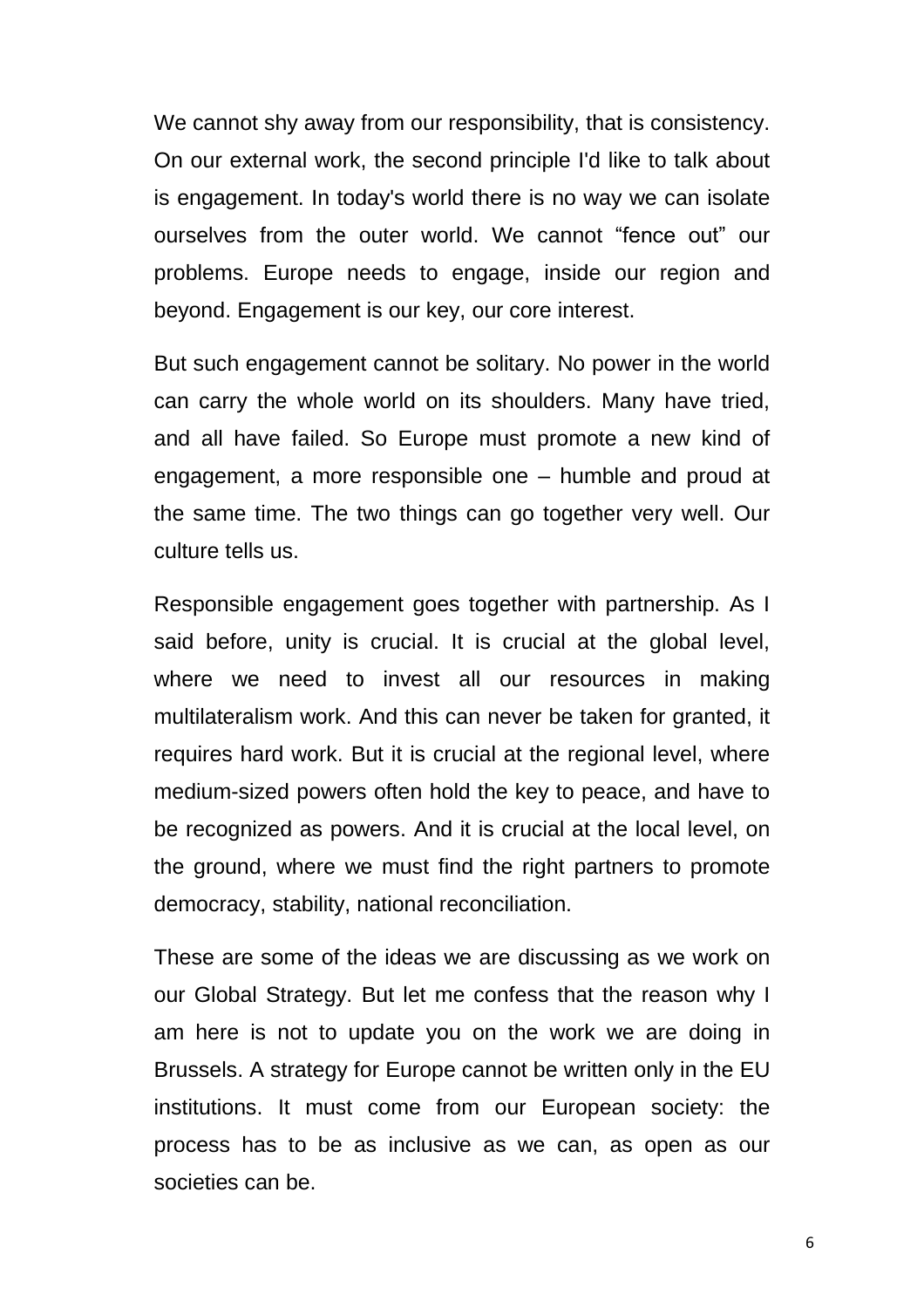We cannot shy away from our responsibility, that is consistency. On our external work, the second principle I'd like to talk about is engagement. In today's world there is no way we can isolate ourselves from the outer world. We cannot "fence out" our problems. Europe needs to engage, inside our region and beyond. Engagement is our key, our core interest.

But such engagement cannot be solitary. No power in the world can carry the whole world on its shoulders. Many have tried, and all have failed. So Europe must promote a new kind of engagement, a more responsible one – humble and proud at the same time. The two things can go together very well. Our culture tells us.

Responsible engagement goes together with partnership. As I said before, unity is crucial. It is crucial at the global level, where we need to invest all our resources in making multilateralism work. And this can never be taken for granted, it requires hard work. But it is crucial at the regional level, where medium-sized powers often hold the key to peace, and have to be recognized as powers. And it is crucial at the local level, on the ground, where we must find the right partners to promote democracy, stability, national reconciliation.

These are some of the ideas we are discussing as we work on our Global Strategy. But let me confess that the reason why I am here is not to update you on the work we are doing in Brussels. A strategy for Europe cannot be written only in the EU institutions. It must come from our European society: the process has to be as inclusive as we can, as open as our societies can be.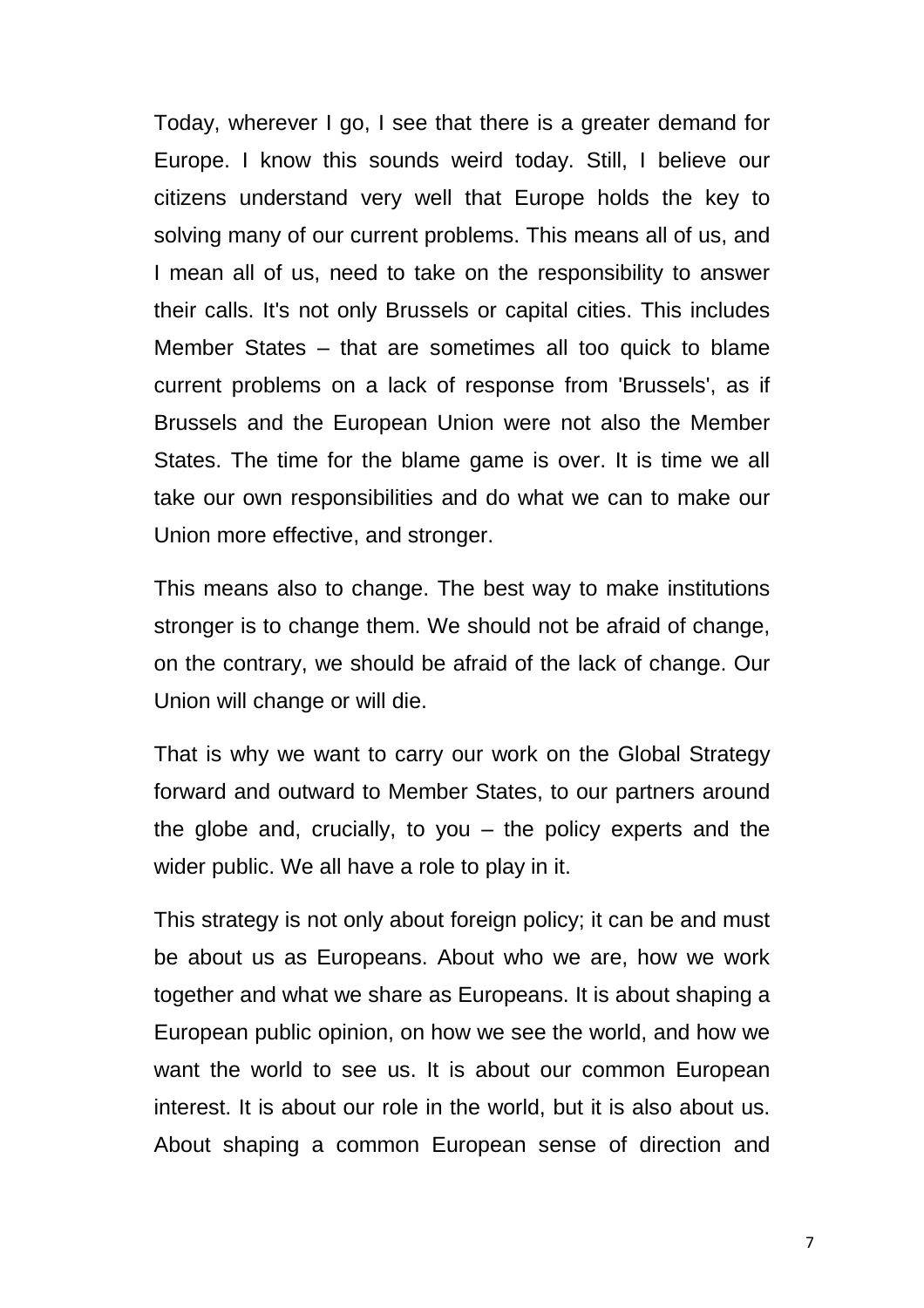Today, wherever I go, I see that there is a greater demand for Europe. I know this sounds weird today. Still, I believe our citizens understand very well that Europe holds the key to solving many of our current problems. This means all of us, and I mean all of us, need to take on the responsibility to answer their calls. It's not only Brussels or capital cities. This includes Member States – that are sometimes all too quick to blame current problems on a lack of response from 'Brussels', as if Brussels and the European Union were not also the Member States. The time for the blame game is over. It is time we all take our own responsibilities and do what we can to make our Union more effective, and stronger.

This means also to change. The best way to make institutions stronger is to change them. We should not be afraid of change, on the contrary, we should be afraid of the lack of change. Our Union will change or will die.

That is why we want to carry our work on the Global Strategy forward and outward to Member States, to our partners around the globe and, crucially, to you – the policy experts and the wider public. We all have a role to play in it.

This strategy is not only about foreign policy; it can be and must be about us as Europeans. About who we are, how we work together and what we share as Europeans. It is about shaping a European public opinion, on how we see the world, and how we want the world to see us. It is about our common European interest. It is about our role in the world, but it is also about us. About shaping a common European sense of direction and